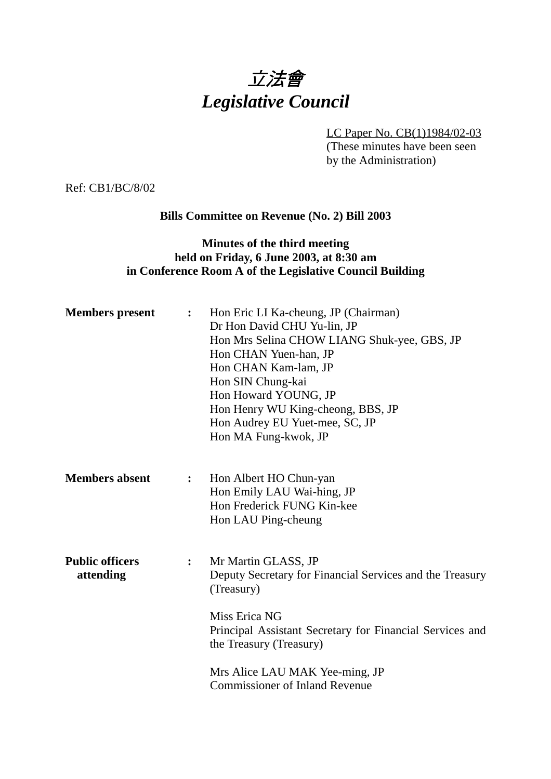

LC Paper No. CB(1)1984/02-03 (These minutes have been seen by the Administration)

Ref: CB1/BC/8/02

### **Bills Committee on Revenue (No. 2) Bill 2003**

## **Minutes of the third meeting held on Friday, 6 June 2003, at 8:30 am in Conference Room A of the Legislative Council Building**

| <b>Members</b> present              | $\ddot{\cdot}$   | Hon Eric LI Ka-cheung, JP (Chairman)<br>Dr Hon David CHU Yu-lin, JP<br>Hon Mrs Selina CHOW LIANG Shuk-yee, GBS, JP<br>Hon CHAN Yuen-han, JP<br>Hon CHAN Kam-lam, JP<br>Hon SIN Chung-kai<br>Hon Howard YOUNG, JP<br>Hon Henry WU King-cheong, BBS, JP<br>Hon Audrey EU Yuet-mee, SC, JP<br>Hon MA Fung-kwok, JP |
|-------------------------------------|------------------|-----------------------------------------------------------------------------------------------------------------------------------------------------------------------------------------------------------------------------------------------------------------------------------------------------------------|
| <b>Members absent</b>               | $\ddot{\bullet}$ | Hon Albert HO Chun-yan<br>Hon Emily LAU Wai-hing, JP<br>Hon Frederick FUNG Kin-kee<br>Hon LAU Ping-cheung                                                                                                                                                                                                       |
| <b>Public officers</b><br>attending | $\ddot{\cdot}$   | Mr Martin GLASS, JP<br>Deputy Secretary for Financial Services and the Treasury<br>(Treasury)<br>Miss Erica NG<br>Principal Assistant Secretary for Financial Services and<br>the Treasury (Treasury)                                                                                                           |
|                                     |                  | Mrs Alice LAU MAK Yee-ming, JP<br><b>Commissioner of Inland Revenue</b>                                                                                                                                                                                                                                         |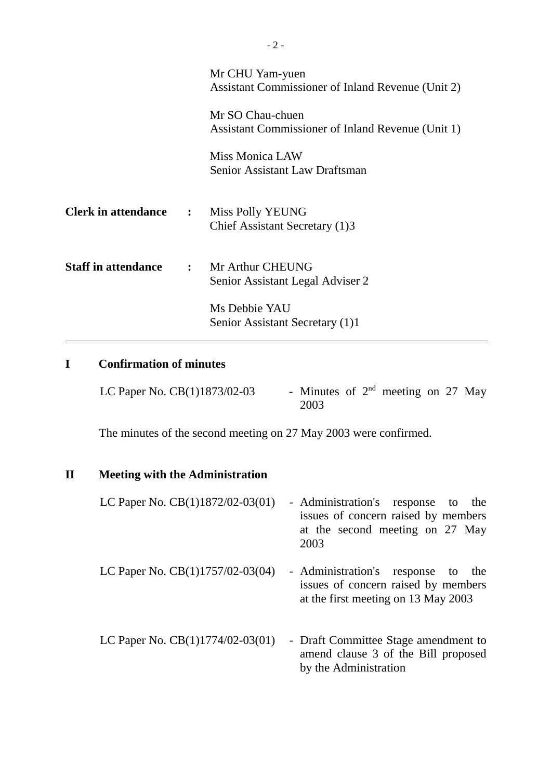|                            |                  | Mr CHU Yam-yuen<br>Assistant Commissioner of Inland Revenue (Unit 2)  |
|----------------------------|------------------|-----------------------------------------------------------------------|
|                            |                  | Mr SO Chau-chuen<br>Assistant Commissioner of Inland Revenue (Unit 1) |
|                            |                  | <b>Miss Monica LAW</b><br>Senior Assistant Law Draftsman              |
| <b>Clerk in attendance</b> | $\ddot{\bullet}$ | Miss Polly YEUNG<br>Chief Assistant Secretary (1)3                    |
| <b>Staff in attendance</b> |                  | : Mr Arthur CHEUNG<br>Senior Assistant Legal Adviser 2                |
|                            |                  | Ms Debbie YAU<br>Senior Assistant Secretary (1)1                      |

# **I Confirmation of minutes**

| LC Paper No. CB(1)1873/02-03 | - Minutes of $2nd$ meeting on 27 May |  |  |  |
|------------------------------|--------------------------------------|--|--|--|
|                              | 2003                                 |  |  |  |

The minutes of the second meeting on 27 May 2003 were confirmed.

# **II Meeting with the Administration**

| LC Paper No. $CB(1)1872/02-03(01)$ | - Administration's response to the  |  |  |  |
|------------------------------------|-------------------------------------|--|--|--|
|                                    | issues of concern raised by members |  |  |  |
|                                    | at the second meeting on 27 May     |  |  |  |
|                                    | 2003                                |  |  |  |
|                                    |                                     |  |  |  |

- LC Paper No. CB(1)1757/02-03(04) Administration's response to the issues of concern raised by members at the first meeting on 13 May 2003
- LC Paper No. CB(1)1774/02-03(01) Draft Committee Stage amendment to amend clause 3 of the Bill proposed by the Administration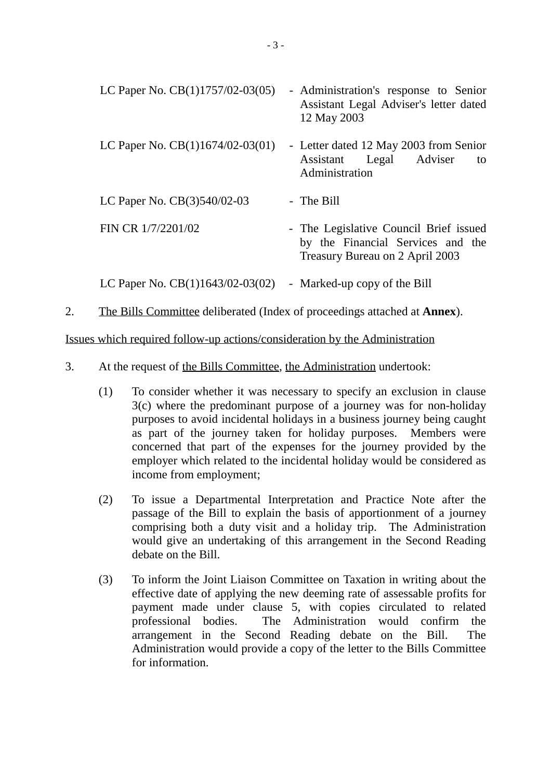| LC Paper No. $CB(1)1757/02-03(05)$ | - Administration's response to Senior<br>Assistant Legal Adviser's letter dated<br>12 May 2003                 |
|------------------------------------|----------------------------------------------------------------------------------------------------------------|
| LC Paper No. $CB(1)1674/02-03(01)$ | - Letter dated 12 May 2003 from Senior<br>Assistant Legal Adviser<br>to<br>Administration                      |
| LC Paper No. $CB(3)540/02-03$      | - The Bill                                                                                                     |
| FIN CR 1/7/2201/02                 | - The Legislative Council Brief issued<br>by the Financial Services and the<br>Treasury Bureau on 2 April 2003 |
| LC Paper No. $CB(1)1643/02-03(02)$ | - Marked-up copy of the Bill                                                                                   |

2. The Bills Committee deliberated (Index of proceedings attached at **Annex**).

Issues which required follow-up actions/consideration by the Administration

- 3. At the request of the Bills Committee, the Administration undertook:
	- (1) To consider whether it was necessary to specify an exclusion in clause 3(c) where the predominant purpose of a journey was for non-holiday purposes to avoid incidental holidays in a business journey being caught as part of the journey taken for holiday purposes. Members were concerned that part of the expenses for the journey provided by the employer which related to the incidental holiday would be considered as income from employment;
	- (2) To issue a Departmental Interpretation and Practice Note after the passage of the Bill to explain the basis of apportionment of a journey comprising both a duty visit and a holiday trip. The Administration would give an undertaking of this arrangement in the Second Reading debate on the Bill.
	- (3) To inform the Joint Liaison Committee on Taxation in writing about the effective date of applying the new deeming rate of assessable profits for payment made under clause 5, with copies circulated to related professional bodies. The Administration would confirm the arrangement in the Second Reading debate on the Bill. The Administration would provide a copy of the letter to the Bills Committee for information.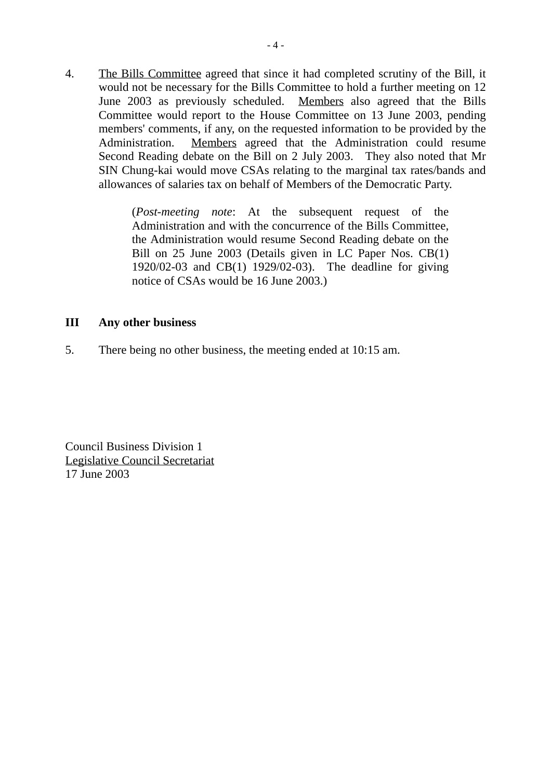4. The Bills Committee agreed that since it had completed scrutiny of the Bill, it would not be necessary for the Bills Committee to hold a further meeting on 12 June 2003 as previously scheduled. Members also agreed that the Bills Committee would report to the House Committee on 13 June 2003, pending members' comments, if any, on the requested information to be provided by the Administration. Members agreed that the Administration could resume Second Reading debate on the Bill on 2 July 2003. They also noted that Mr SIN Chung-kai would move CSAs relating to the marginal tax rates/bands and allowances of salaries tax on behalf of Members of the Democratic Party.

> (*Post-meeting note*: At the subsequent request of the Administration and with the concurrence of the Bills Committee, the Administration would resume Second Reading debate on the Bill on 25 June 2003 (Details given in LC Paper Nos. CB(1) 1920/02-03 and CB(1) 1929/02-03). The deadline for giving notice of CSAs would be 16 June 2003.)

### **III Any other business**

5. There being no other business, the meeting ended at 10:15 am.

Council Business Division 1 Legislative Council Secretariat 17 June 2003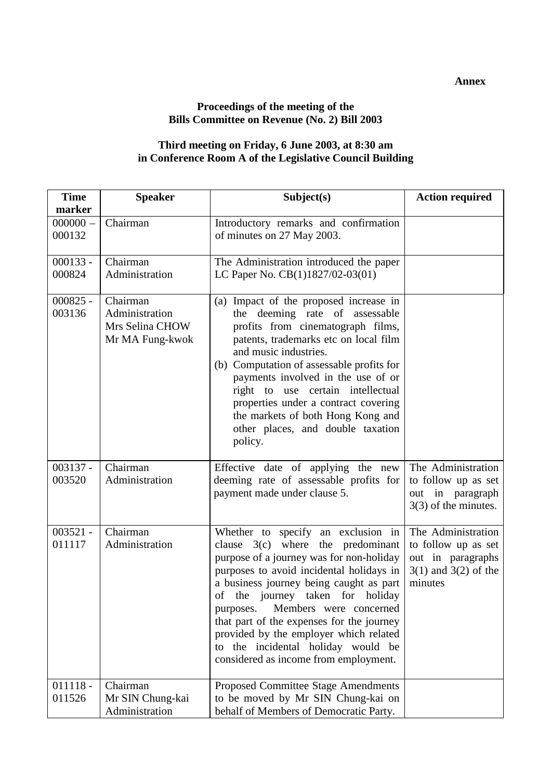**Annex**

## **Proceedings of the meeting of the Bills Committee on Revenue (No. 2) Bill 2003**

### **Third meeting on Friday, 6 June 2003, at 8:30 am in Conference Room A of the Legislative Council Building**

| <b>Time</b><br>marker | <b>Speaker</b>                                                   | Subject(s)                                                                                                                                                                                                                                                                                                                                                                                                                                                       | <b>Action required</b>                                                                                |  |
|-----------------------|------------------------------------------------------------------|------------------------------------------------------------------------------------------------------------------------------------------------------------------------------------------------------------------------------------------------------------------------------------------------------------------------------------------------------------------------------------------------------------------------------------------------------------------|-------------------------------------------------------------------------------------------------------|--|
| $000000 -$<br>000132  | Chairman                                                         | Introductory remarks and confirmation<br>of minutes on 27 May 2003.                                                                                                                                                                                                                                                                                                                                                                                              |                                                                                                       |  |
| $000133 -$<br>000824  | Chairman<br>Administration                                       | The Administration introduced the paper<br>LC Paper No. CB(1)1827/02-03(01)                                                                                                                                                                                                                                                                                                                                                                                      |                                                                                                       |  |
| $000825 -$<br>003136  | Chairman<br>Administration<br>Mrs Selina CHOW<br>Mr MA Fung-kwok | (a) Impact of the proposed increase in<br>the deeming rate of assessable<br>profits from cinematograph films,<br>patents, trademarks etc on local film<br>and music industries.<br>Computation of assessable profits for<br>(b)<br>payments involved in the use of or<br>right to use certain intellectual<br>properties under a contract covering<br>the markets of both Hong Kong and<br>other places, and double taxation<br>policy.                          |                                                                                                       |  |
| $003137 -$<br>003520  | Chairman<br>Administration                                       | Effective date of applying the new<br>deeming rate of assessable profits for<br>payment made under clause 5.                                                                                                                                                                                                                                                                                                                                                     | The Administration<br>to follow up as set<br>out in paragraph<br>$3(3)$ of the minutes.               |  |
| $003521 -$<br>011117  | Chairman<br>Administration                                       | Whether to specify an exclusion in<br>clause $3(c)$ where the predominant<br>purpose of a journey was for non-holiday<br>purposes to avoid incidental holidays in<br>a business journey being caught as part<br>of the journey taken for holiday<br>Members were concerned<br>purposes.<br>that part of the expenses for the journey<br>provided by the employer which related<br>the incidental holiday would be<br>to<br>considered as income from employment. | The Administration<br>to follow up as set<br>out in paragraphs<br>$3(1)$ and $3(2)$ of the<br>minutes |  |
| $011118 -$<br>011526  | Chairman<br>Mr SIN Chung-kai<br>Administration                   | Proposed Committee Stage Amendments<br>to be moved by Mr SIN Chung-kai on<br>behalf of Members of Democratic Party.                                                                                                                                                                                                                                                                                                                                              |                                                                                                       |  |